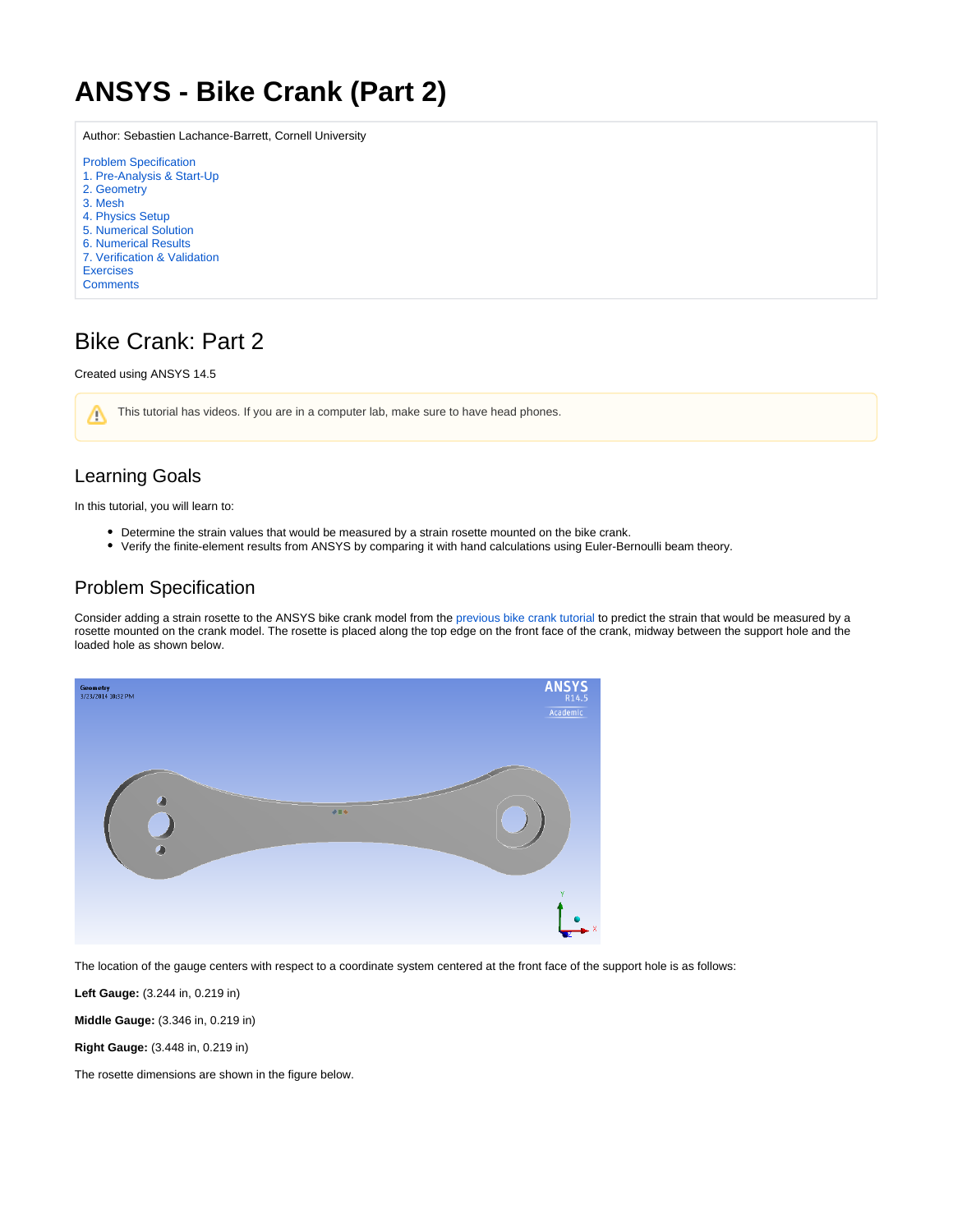# <span id="page-0-0"></span>**ANSYS - Bike Crank (Part 2)**

Author: Sebastien Lachance-Barrett, Cornell University

- [Problem Specification](#page-0-0)
- [1. Pre-Analysis & Start-Up](https://confluence.cornell.edu/pages/viewpage.action?pageId=248382513)
- [2. Geometry](https://confluence.cornell.edu/display/SIMULATION/Bike+Crank+%28Part+2%29+-+Geometry)
- [3. Mesh](https://confluence.cornell.edu/display/SIMULATION/Bike+Crank+%28Part+2%29+-+Mesh)
- [4. Physics Setup](https://confluence.cornell.edu/display/SIMULATION/Bike+Crank+%28Part+2%29+-+Physics+Setup) [5. Numerical Solution](https://confluence.cornell.edu/display/SIMULATION/Bike+Crank+%28Part+2%29+-+Numerical+Solution)
- [6. Numerical Results](https://confluence.cornell.edu/display/SIMULATION/Bike+Crank+%28Part+2%29+-+Numerical+Results)
- [7. Verification & Validation](https://confluence.cornell.edu/pages/viewpage.action?pageId=248382532)
- [Exercises](https://confluence.cornell.edu/display/SIMULATION/Bike+Crank+%28Part+2%29+-+Exercises)
- **[Comments](https://confluence.cornell.edu/display/SIMULATION/Bike+Crank+%28Part+2%29+-+Comments)**

## Bike Crank: Part 2

#### Created using ANSYS 14.5

This tutorial has videos. If you are in a computer lab, make sure to have head phones. Λ

## Learning Goals

In this tutorial, you will learn to:

- Determine the strain values that would be measured by a strain rosette mounted on the bike crank.
- Verify the finite-element results from ANSYS by comparing it with hand calculations using Euler-Bernoulli beam theory.

### Problem Specification

Consider adding a strain rosette to the ANSYS bike crank model from the [previous bike crank tutorial](https://confluence.cornell.edu/display/SIMULATION/ANSYS+-+Bike+Crank) to predict the strain that would be measured by a rosette mounted on the crank model. The rosette is placed along the top edge on the front face of the crank, midway between the support hole and the loaded hole as shown below.



The location of the gauge centers with respect to a coordinate system centered at the front face of the support hole is as follows:

**Left Gauge:** (3.244 in, 0.219 in)

**Middle Gauge:** (3.346 in, 0.219 in)

**Right Gauge:** (3.448 in, 0.219 in)

The rosette dimensions are shown in the figure below.